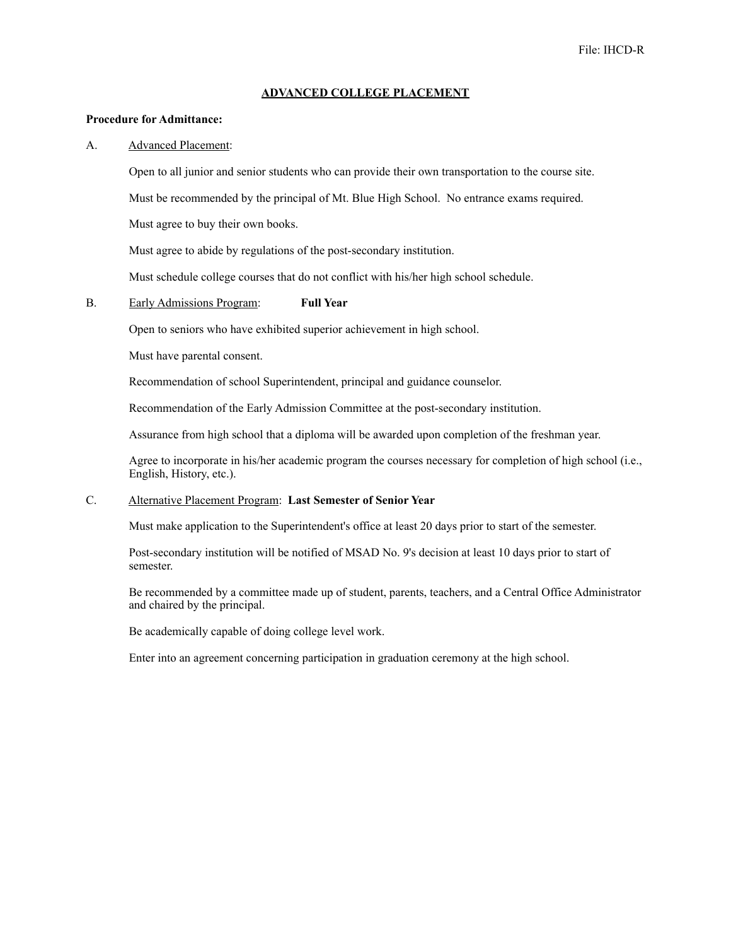#### **ADVANCED COLLEGE PLACEMENT**

## **Procedure for Admittance:**

### A. Advanced Placement:

Open to all junior and senior students who can provide their own transportation to the course site.

Must be recommended by the principal of Mt. Blue High School. No entrance exams required.

Must agree to buy their own books.

Must agree to abide by regulations of the post-secondary institution.

Must schedule college courses that do not conflict with his/her high school schedule.

## B. Early Admissions Program: **Full Year**

Open to seniors who have exhibited superior achievement in high school.

Must have parental consent.

Recommendation of school Superintendent, principal and guidance counselor.

Recommendation of the Early Admission Committee at the post-secondary institution.

Assurance from high school that a diploma will be awarded upon completion of the freshman year.

Agree to incorporate in his/her academic program the courses necessary for completion of high school (i.e., English, History, etc.).

# C. Alternative Placement Program: **Last Semester of Senior Year**

Must make application to the Superintendent's office at least 20 days prior to start of the semester.

Post-secondary institution will be notified of MSAD No. 9's decision at least 10 days prior to start of semester.

Be recommended by a committee made up of student, parents, teachers, and a Central Office Administrator and chaired by the principal.

Be academically capable of doing college level work.

Enter into an agreement concerning participation in graduation ceremony at the high school.